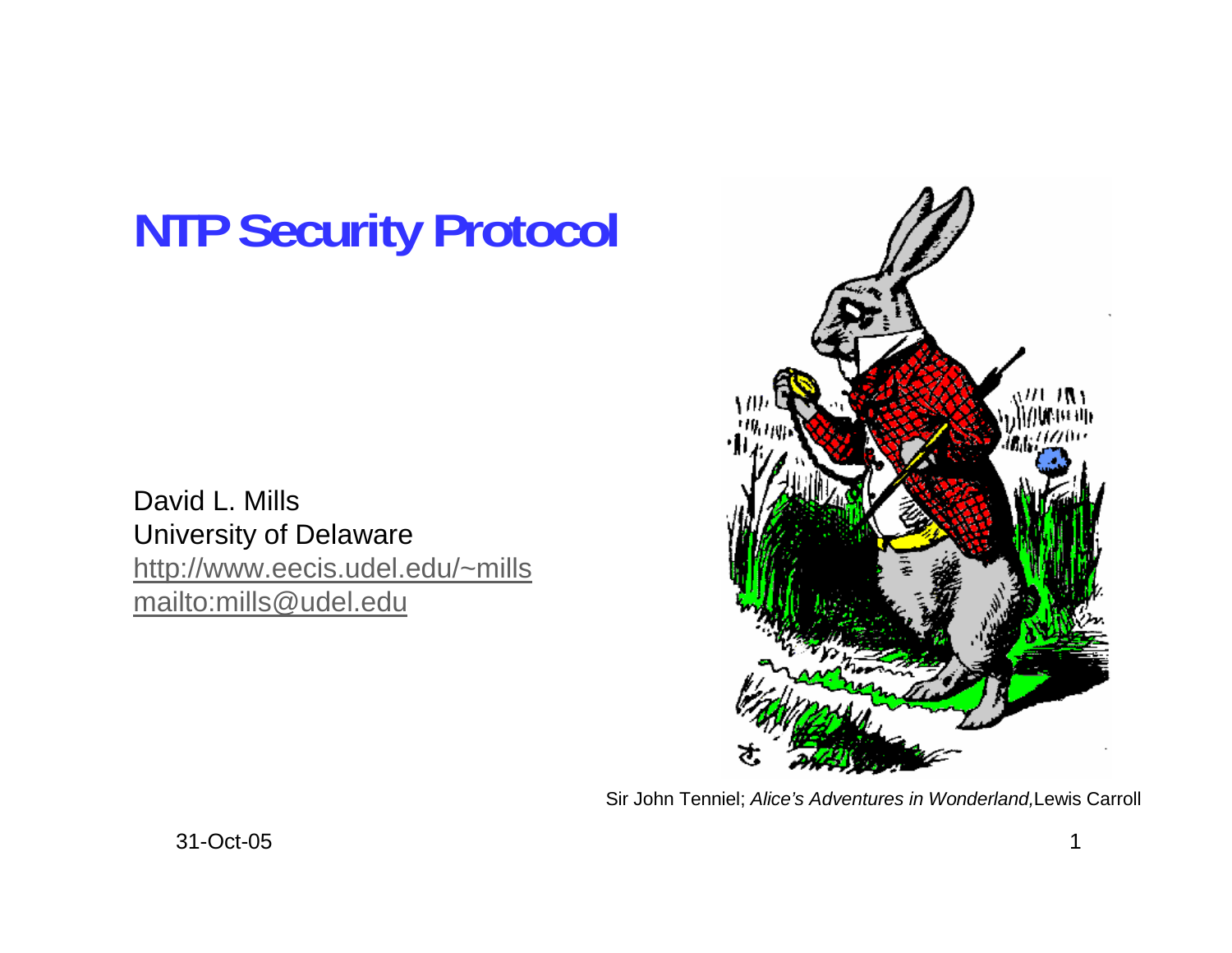# **NTP Security Protocol**

David L. Mills University of Delaware http://www.eecis.udel.edu/~mills mailto:mills@udel.edu



Sir John Tenniel; *Alice's Adventures in Wonderland,*Lewis Carroll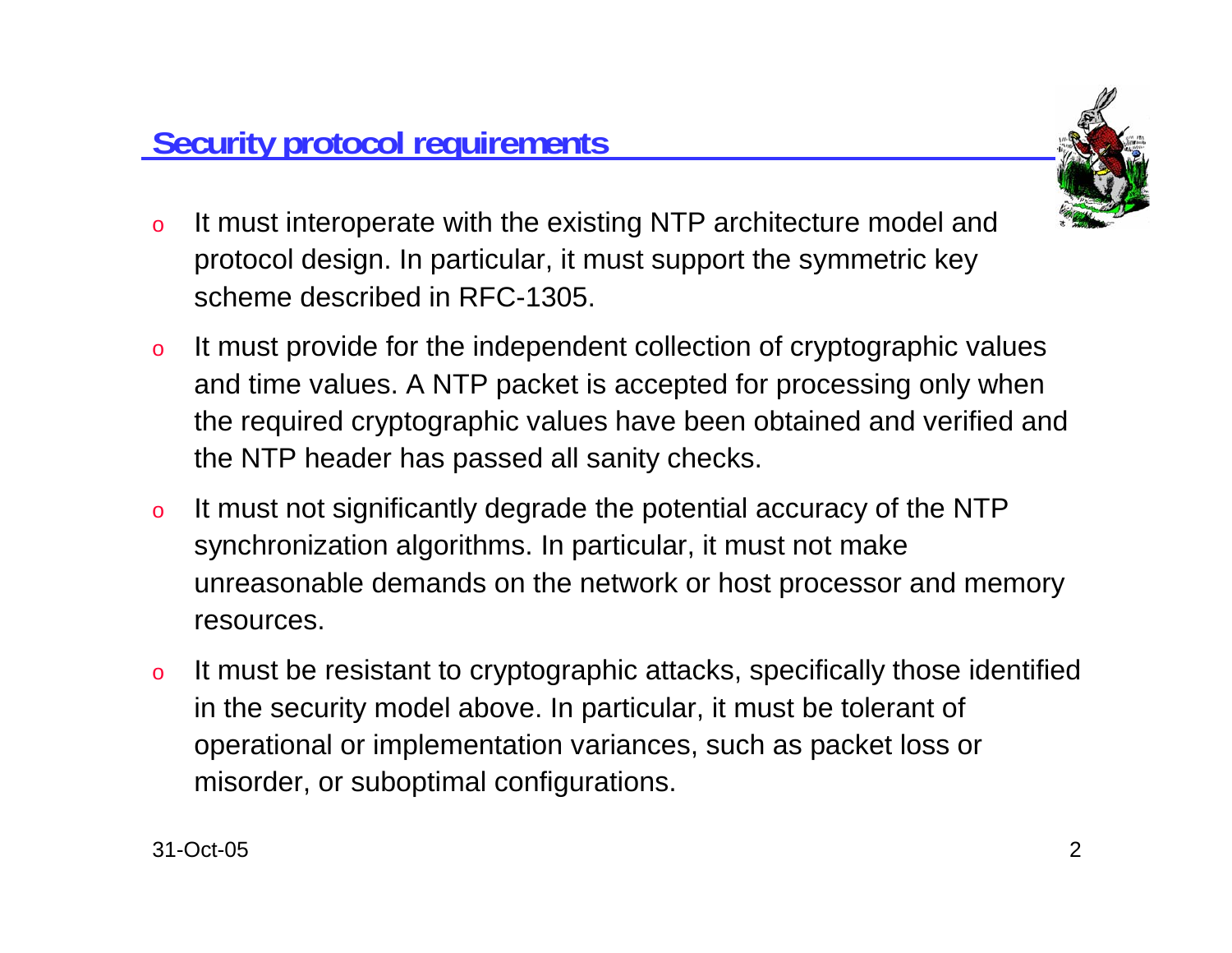

- o It must interoperate with the existing NTP architecture model and protocol design. In particular, it must support the symmetric key scheme described in RFC-1305.
- o It must provide for the independent collection of cryptographic values and time values. A NTP packet is accepted for processing only when the required cryptographic values have been obtained and verified and the NTP header has passed all sanity checks.
- o It must not significantly degrade the potential accuracy of the NTP synchronization algorithms. In particular, it must not make unreasonable demands on the network or host processor and memory resources.
- o It must be resistant to cryptographic attacks, specifically those identified in the security model above. In particular, it must be tolerant of operational or implementation variances, such as packet loss or misorder, or suboptimal configurations.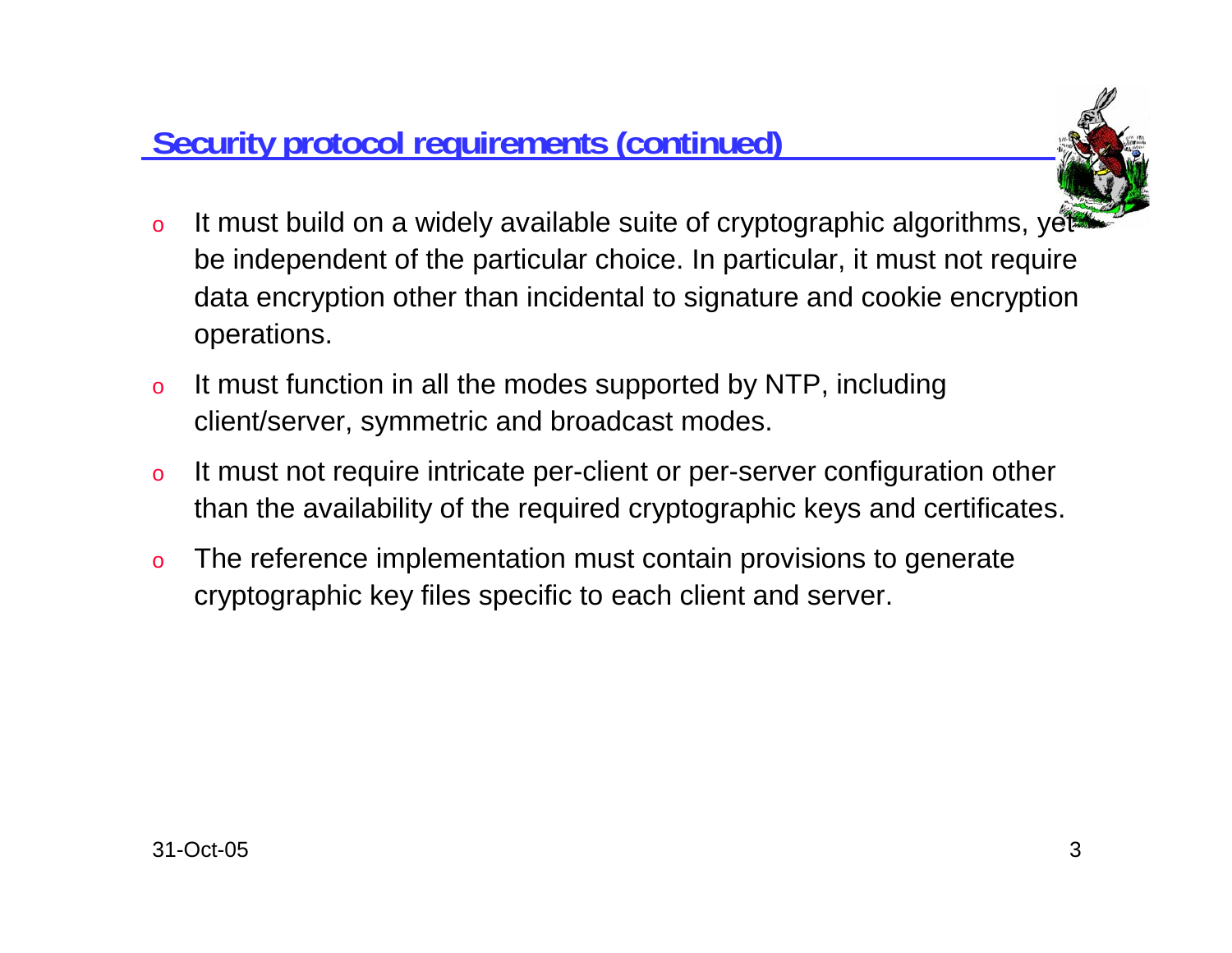## **Security protocol requirements (continued)**



- oIt must build on a widely available suite of cryptographic algorithms, yet be independent of the particular choice. In particular, it must not require data encryption other than incidental to signature and cookie encryption operations.
- o It must function in all the modes supported by NTP, including client/server, symmetric and broadcast modes.
- o It must not require intricate per-client or per-server configuration other than the availability of the required cryptographic keys and certificates.
- o The reference implementation must contain provisions to generate cryptographic key files specific to each client and server.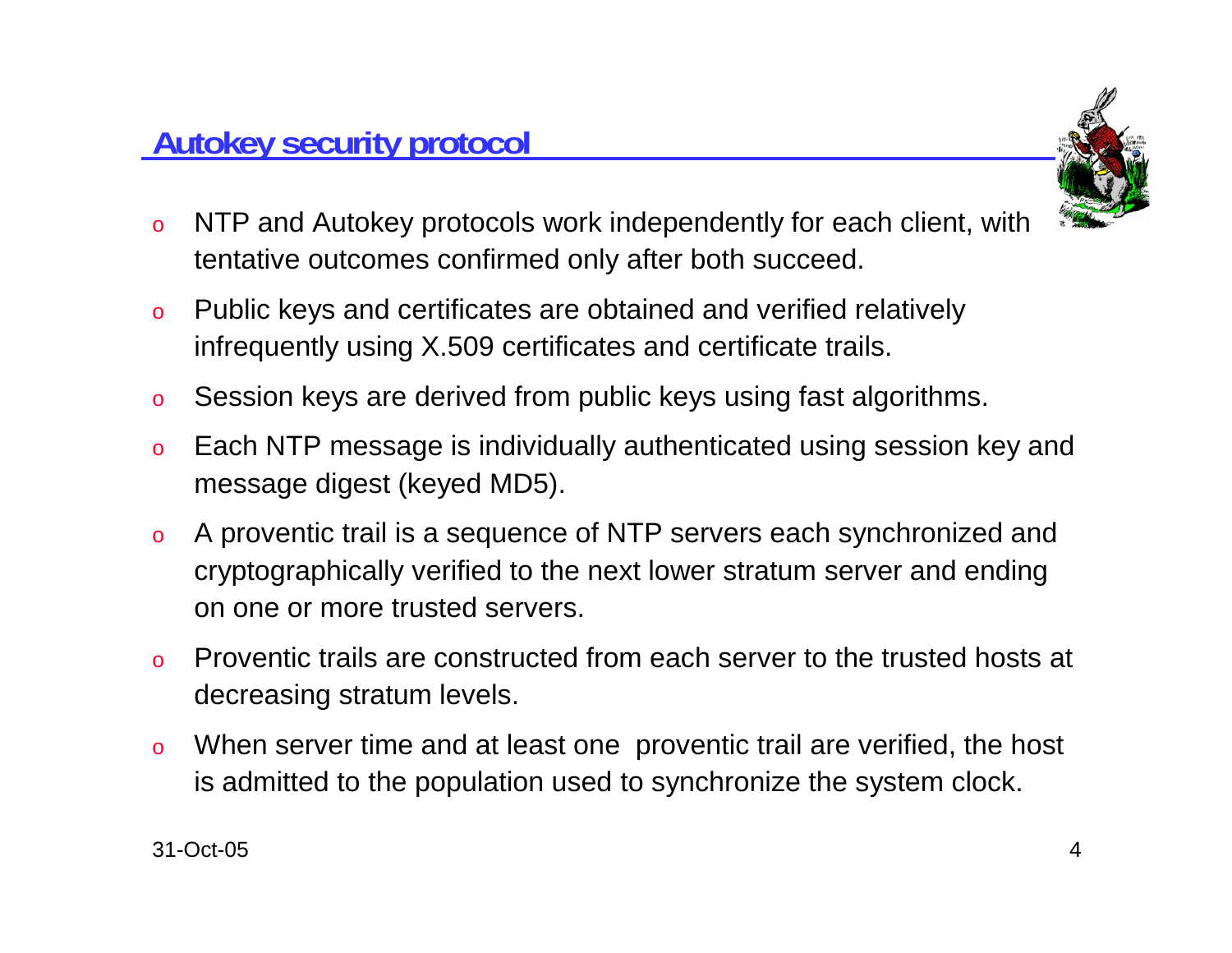

- o NTP and Autokey protocols work independently for each client, with tentative outcomes confirmed only after both succeed.
- o Public keys and certificates are obtained and verified relatively infrequently using X.509 certificates and certificate trails.
- oSession keys are derived from public keys using fast algorithms.
- o Each NTP message is individually authenticated using session key and message digest (keyed MD5).
- o A proventic trail is a sequence of NTP servers each synchronized and cryptographically verified to the next lower stratum server and ending on one or more trusted servers.
- o Proventic trails are constructed from each server to the trusted hosts at decreasing stratum levels.
- o When server time and at least one proventic trail are verified, the host is admitted to the population used to synchronize the system clock.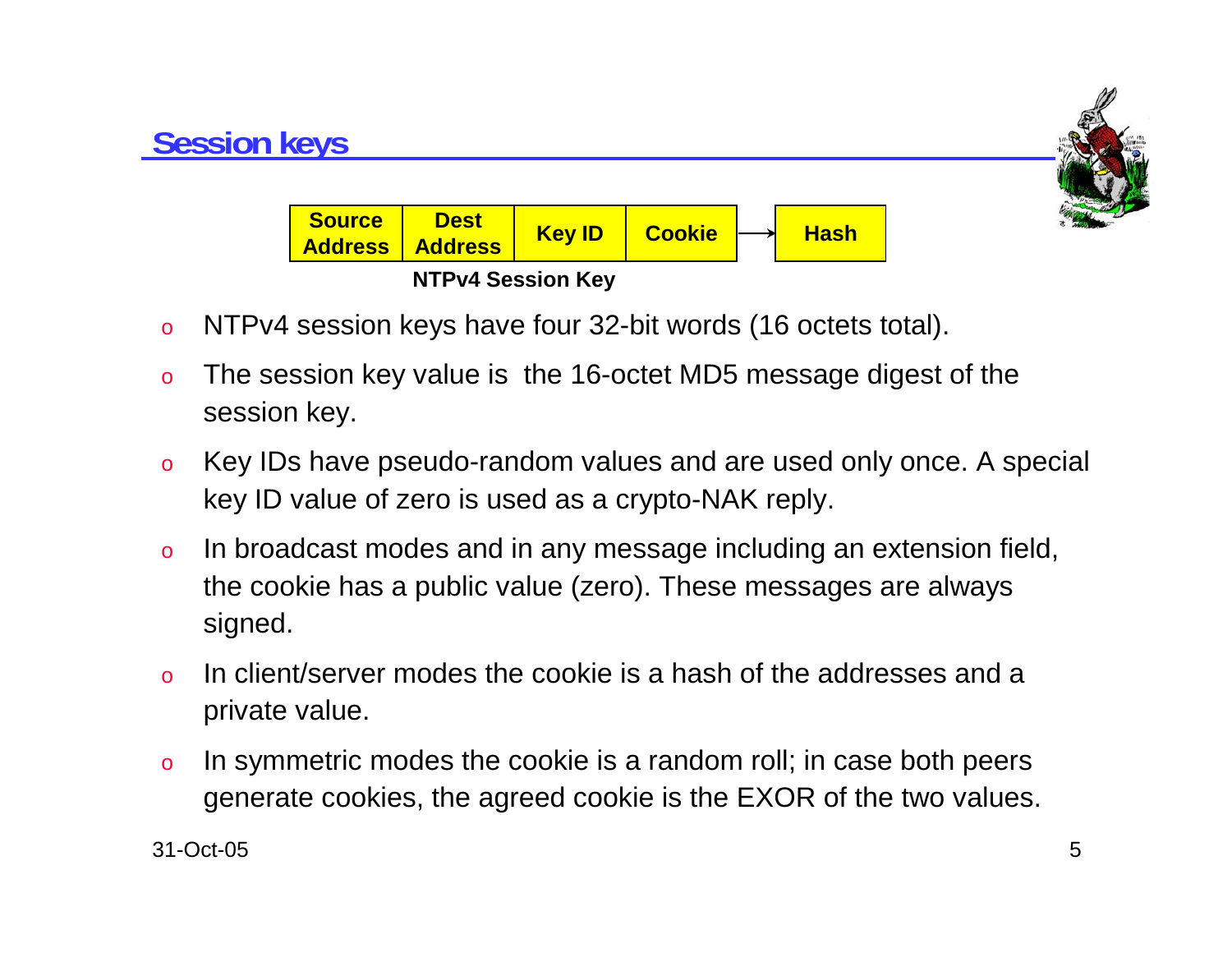

- oNTPv4 session keys have four 32-bit words (16 octets total).
- o The session key value is the 16-octet MD5 message digest of the session key.
- o Key IDs have pseudo-random values and are used only once. A special key ID value of zero is used as a crypto-NAK reply.
- o In broadcast modes and in any message including an extension field, the cookie has a public value (zero). These messages are always signed.
- o In client/server modes the cookie is a hash of the addresses and a private value.
- o In symmetric modes the cookie is a random roll; in case both peers generate cookies, the agreed cookie is the EXOR of the two values.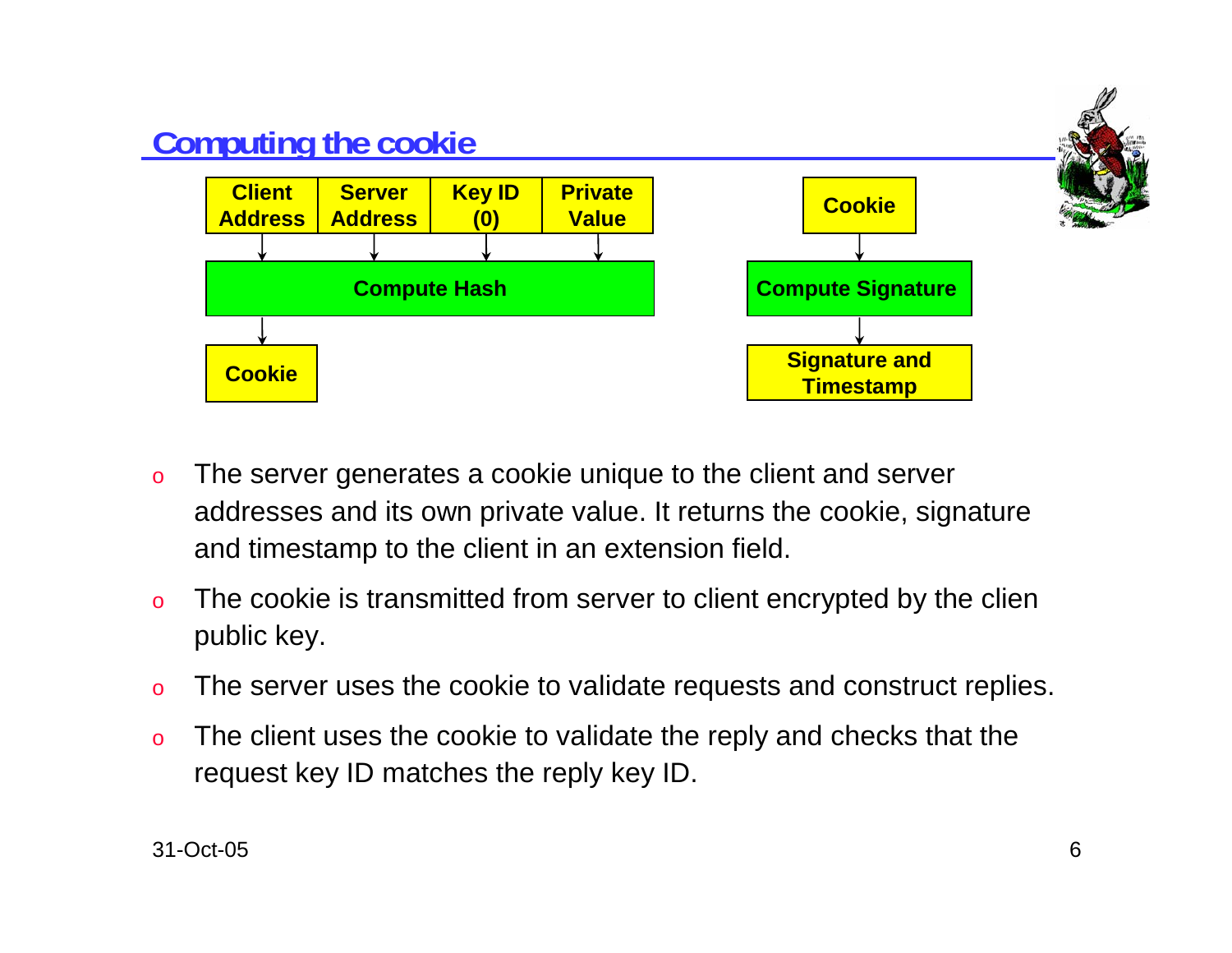

- o The server generates a cookie unique to the client and server addresses and its own private value. It returns the cookie, signature and timestamp to the client in an extension field.
- o The cookie is transmitted from server to client encrypted by the clien public key.
- oThe server uses the cookie to validate requests and construct replies.
- o The client uses the cookie to validate the reply and checks that the request key ID matches the reply key ID.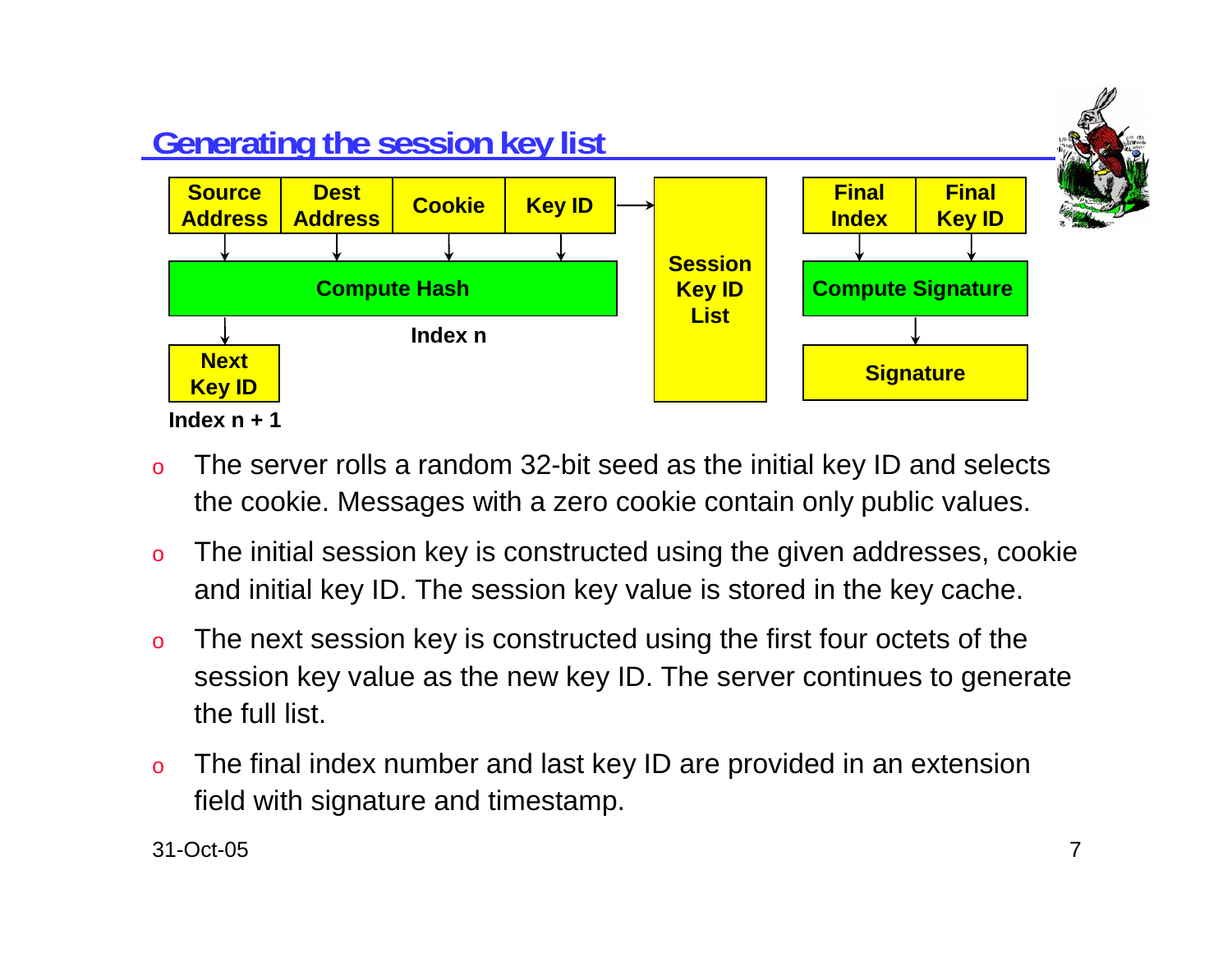

- o The server rolls a random 32-bit seed as the initial key ID and selects the cookie. Messages with a zero cookie contain only public values.
- o The initial session key is constructed using the given addresses, cookie and initial key ID. The session key value is stored in the key cache.
- o The next session key is constructed using the first four octets of the session key value as the new key ID. The server continues to generate the full list.
- o The final index number and last key ID are provided in an extension field with signature and timestamp.

31-Oct-05 $5$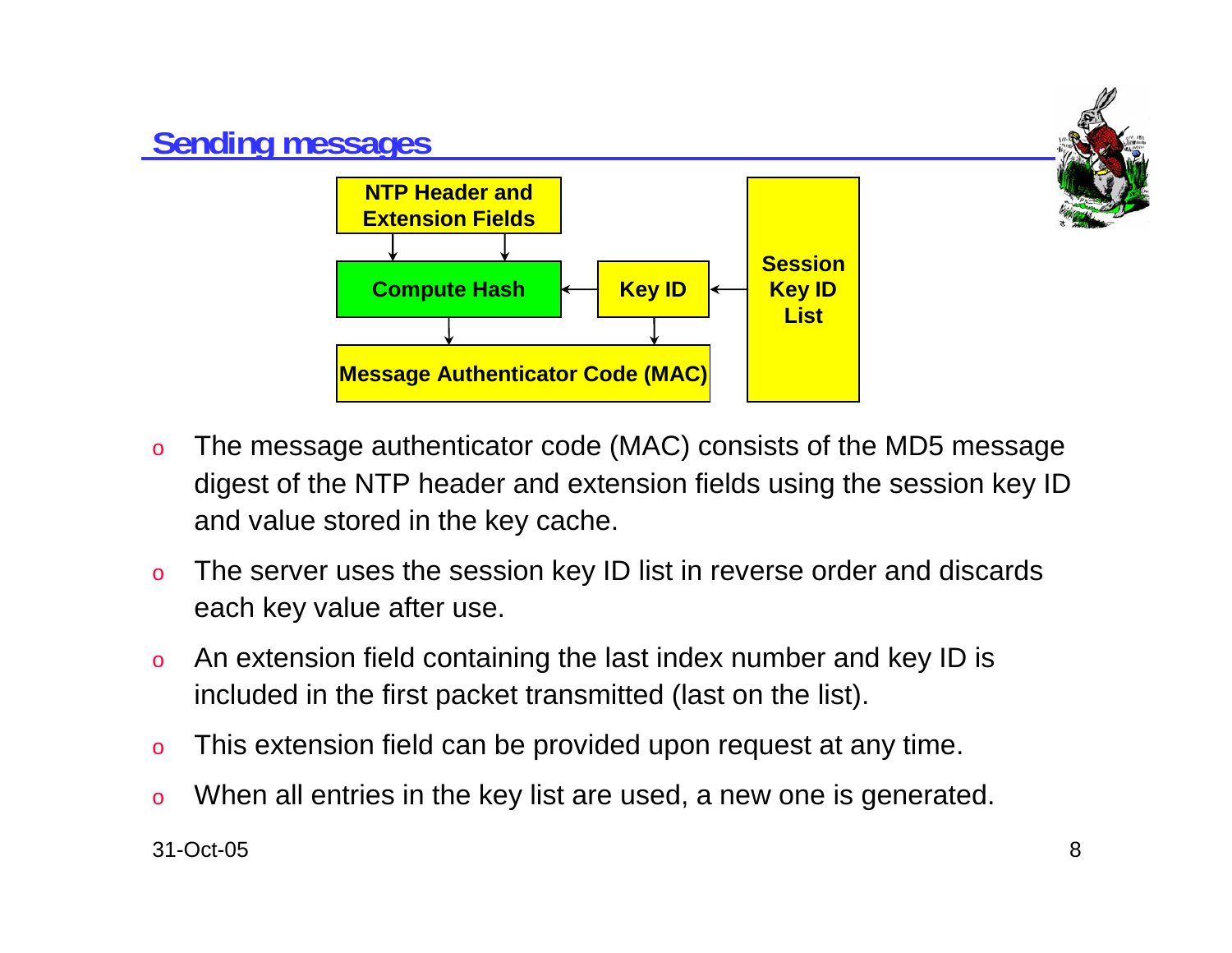

- o The message authenticator code (MAC) consists of the MD5 message digest of the NTP header and extension fields using the session key ID and value stored in the key cache.
- o The server uses the session key ID list in reverse order and discards each key value after use.
- o An extension field containing the last index number and key ID is included in the first packet transmitted (last on the list).
- oThis extension field can be provided upon request at any time.
- oWhen all entries in the key list are used, a new one is generated.

31-Oct-058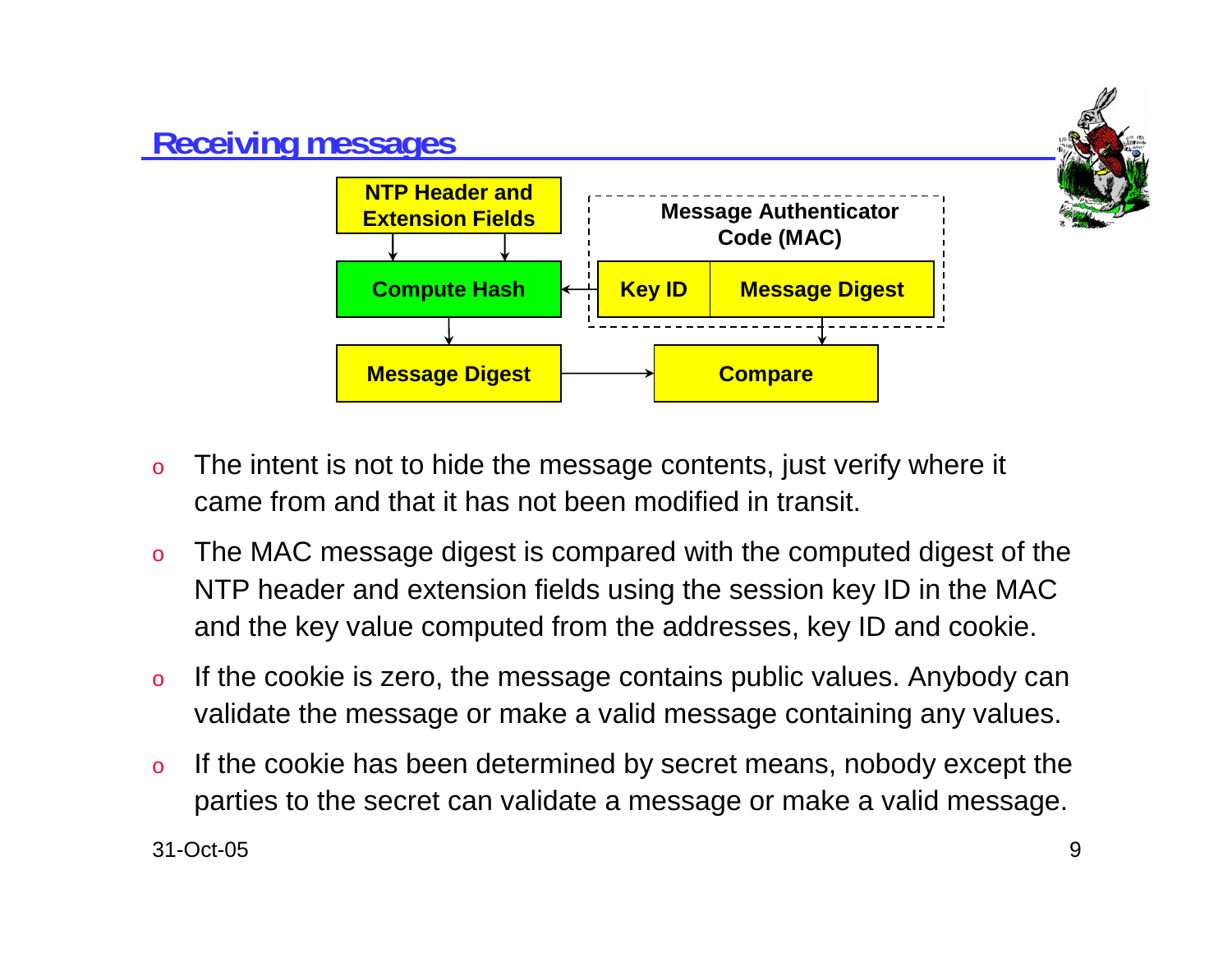

- o The intent is not to hide the message contents, just verify where it came from and that it has not been modified in transit.
- o The MAC message digest is compared with the computed digest of the NTP header and extension fields using the session key ID in the MAC and the key value computed from the addresses, key ID and cookie.
- o If the cookie is zero, the message contains public values. Anybody can validate the message or make a valid message containing any values.
- o If the cookie has been determined by secret means, nobody except the parties to the secret can validate a message or make a valid message.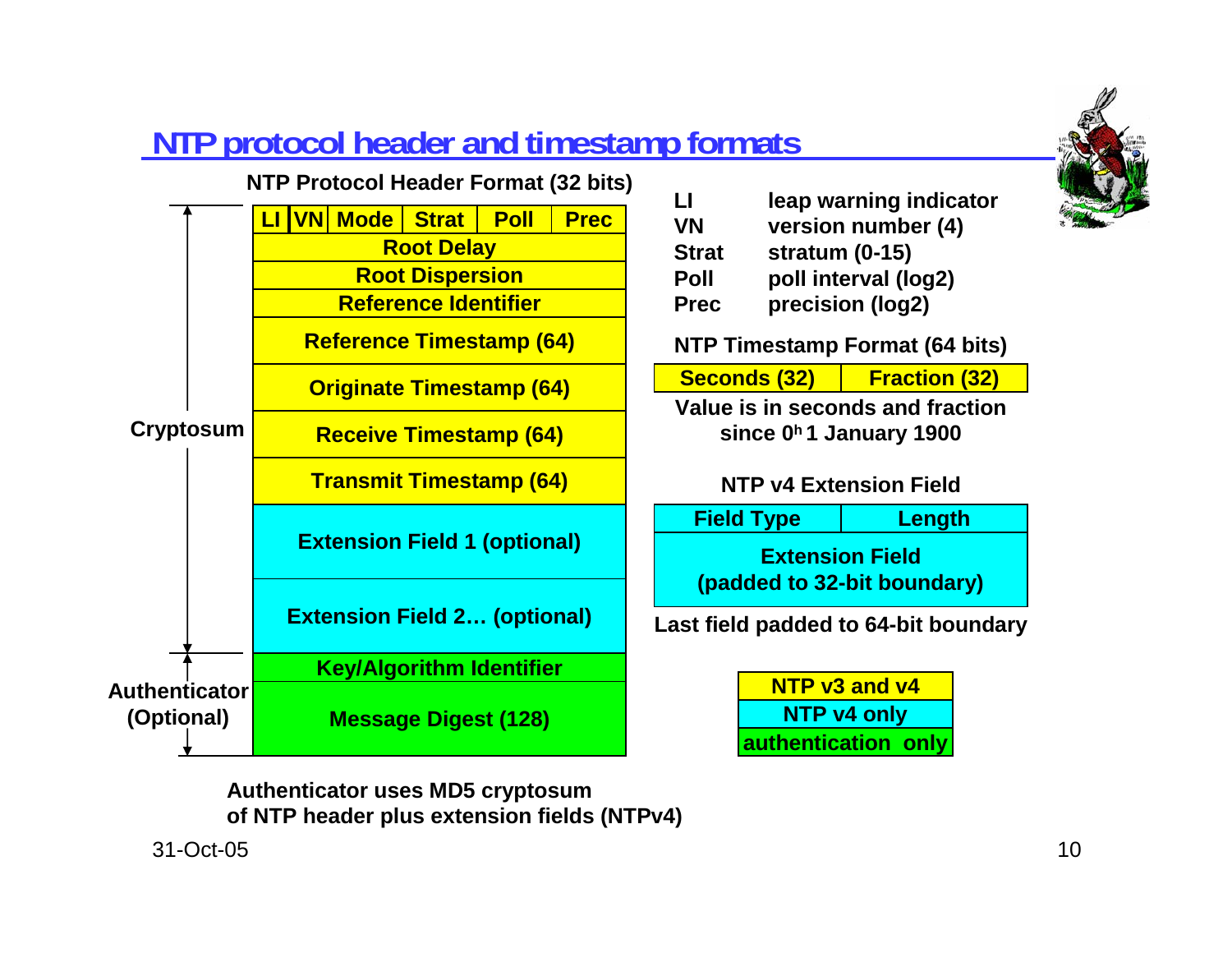

## **NTP protocol header and timestamp formats**



| LI          | leap warning indicator |
|-------------|------------------------|
| VN          | version number (4)     |
| Strat       | stratum $(0-15)$       |
| Poll        | poll interval (log2)   |
| <b>Prec</b> | precision (log2)       |

**NTP Timestamp Format (64 bits)**

**Seconds (32) Fraction (32)**

**Value is in seconds and fraction**

**since 0h 1 January 1900**

### **NTP v4 Extension Field**

**Extension Field(padded to 32-bit boundary) Field Type Length**

**Last field padded to 64-bit boundary**

**NTP v3 and v4NTP v4 only authentication only**

**Authenticator uses MD5 cryptosum of NTP header plus extension fields (NTPv4)**

31-Oct-05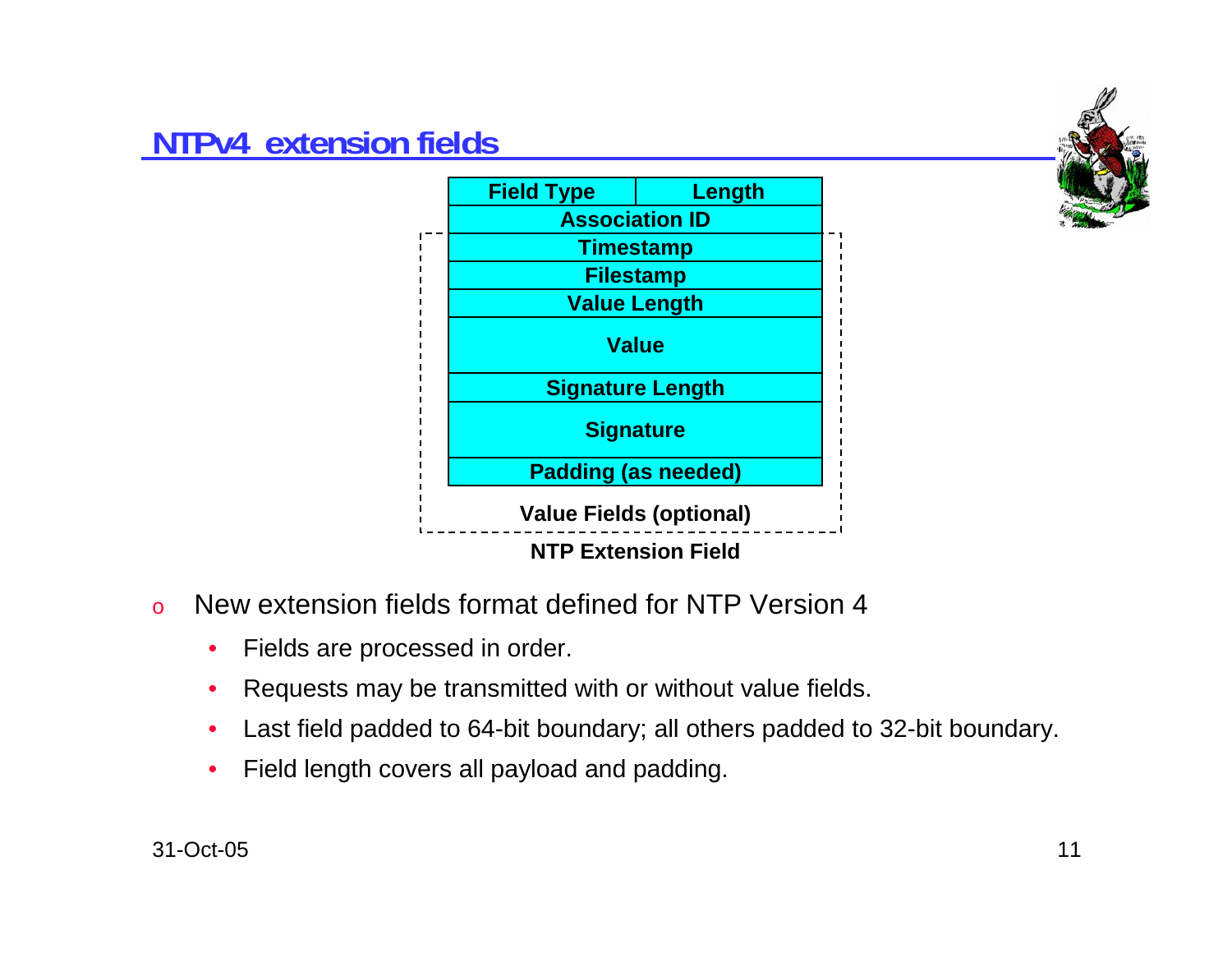## **NTPv4 extension fields**





- o New extension fields format defined for NTP Version 4
	- $\bullet$ Fields are processed in order.
	- •Requests may be transmitted with or without value fields.
	- •Last field padded to 64-bit boundary; all others padded to 32-bit boundary.
	- •Field length covers all payload and padding.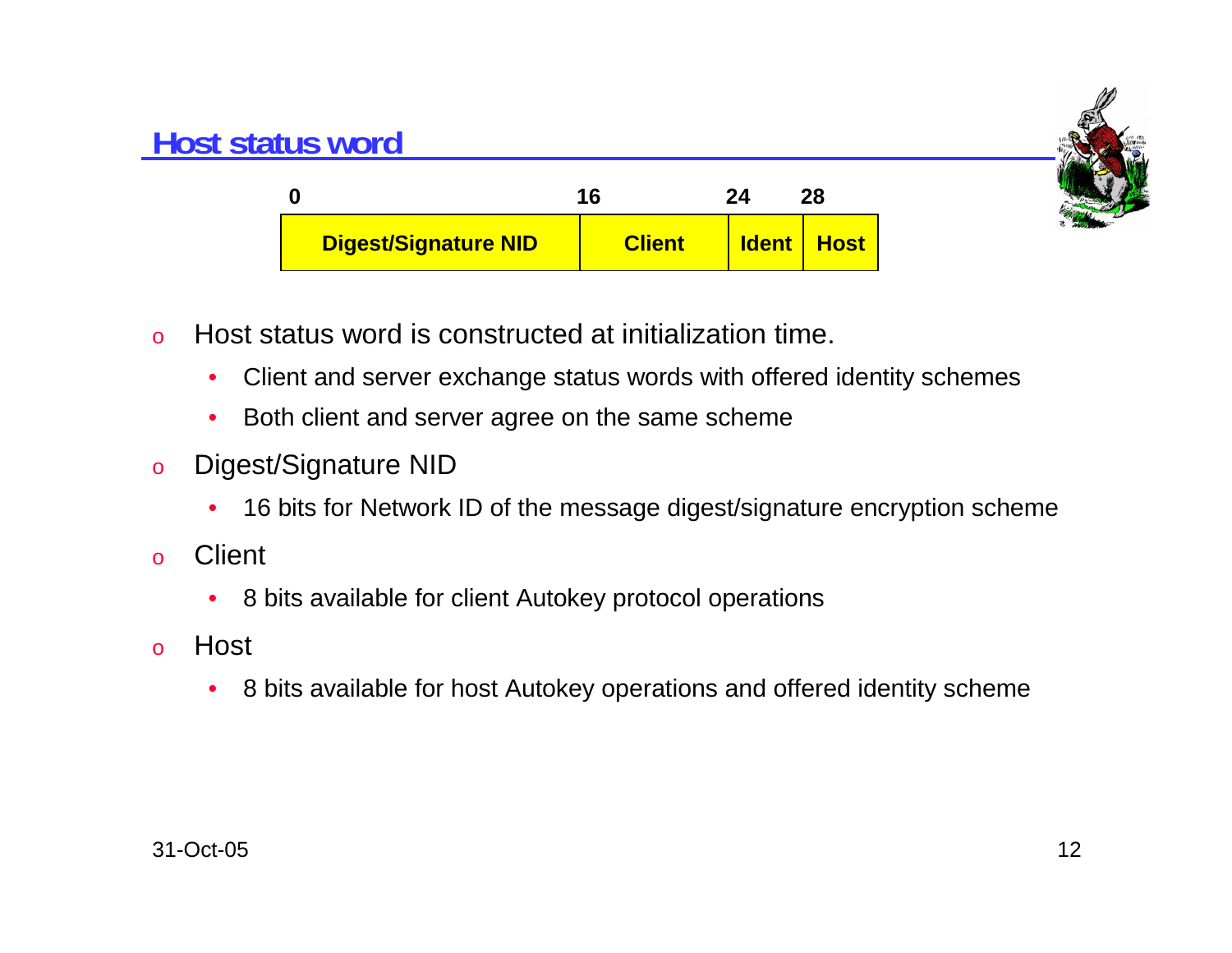

## **Host status word**

| 0                    | 16            | 24 | 28                |
|----------------------|---------------|----|-------------------|
| Digest/Signature NID | <b>Client</b> |    | <b>Ident Host</b> |

- o Host status word is constructed at initialization time.
	- $\bullet$ Client and server exchange status words with offered identity schemes
	- $\bullet$ Both client and server agree on the same scheme
- o Digest/Signature NID
	- •16 bits for Network ID of the message digest/signature encryption scheme
- o**Client** 
	- •8 bits available for client Autokey protocol operations
- o Host
	- $\bullet$ 8 bits available for host Autokey operations and offered identity scheme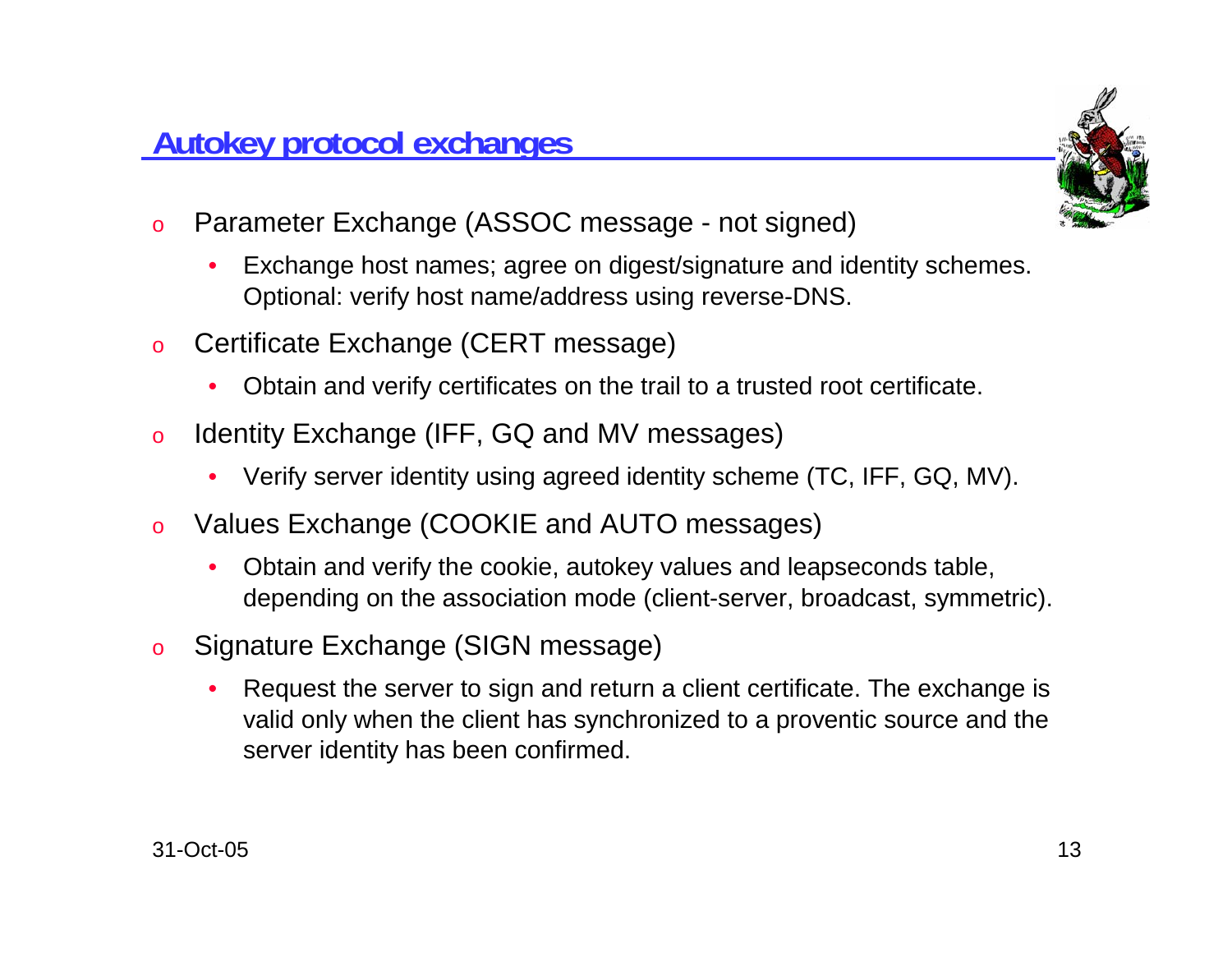## **Autokey protocol exchanges**

- o Parameter Exchange (ASSOC message - not signed)
	- • Exchange host names; agree on digest/signature and identity schemes. Optional: verify host name/address using reverse-DNS.
- o Certificate Exchange (CERT message)
	- •Obtain and verify certificates on the trail to a trusted root certificate.
- o Identity Exchange (IFF, GQ and MV messages)
	- Verify server identity using agreed identity scheme (TC, IFF, GQ, MV).
- o Values Exchange (COOKIE and AUTO messages)
	- • Obtain and verify the cookie, autokey values and leapseconds table, depending on the association mode (client-server, broadcast, symmetric).
- o Signature Exchange (SIGN message)
	- • Request the server to sign and return a client certificate. The exchange is valid only when the client has synchronized to a proventic source and the server identity has been confirmed.

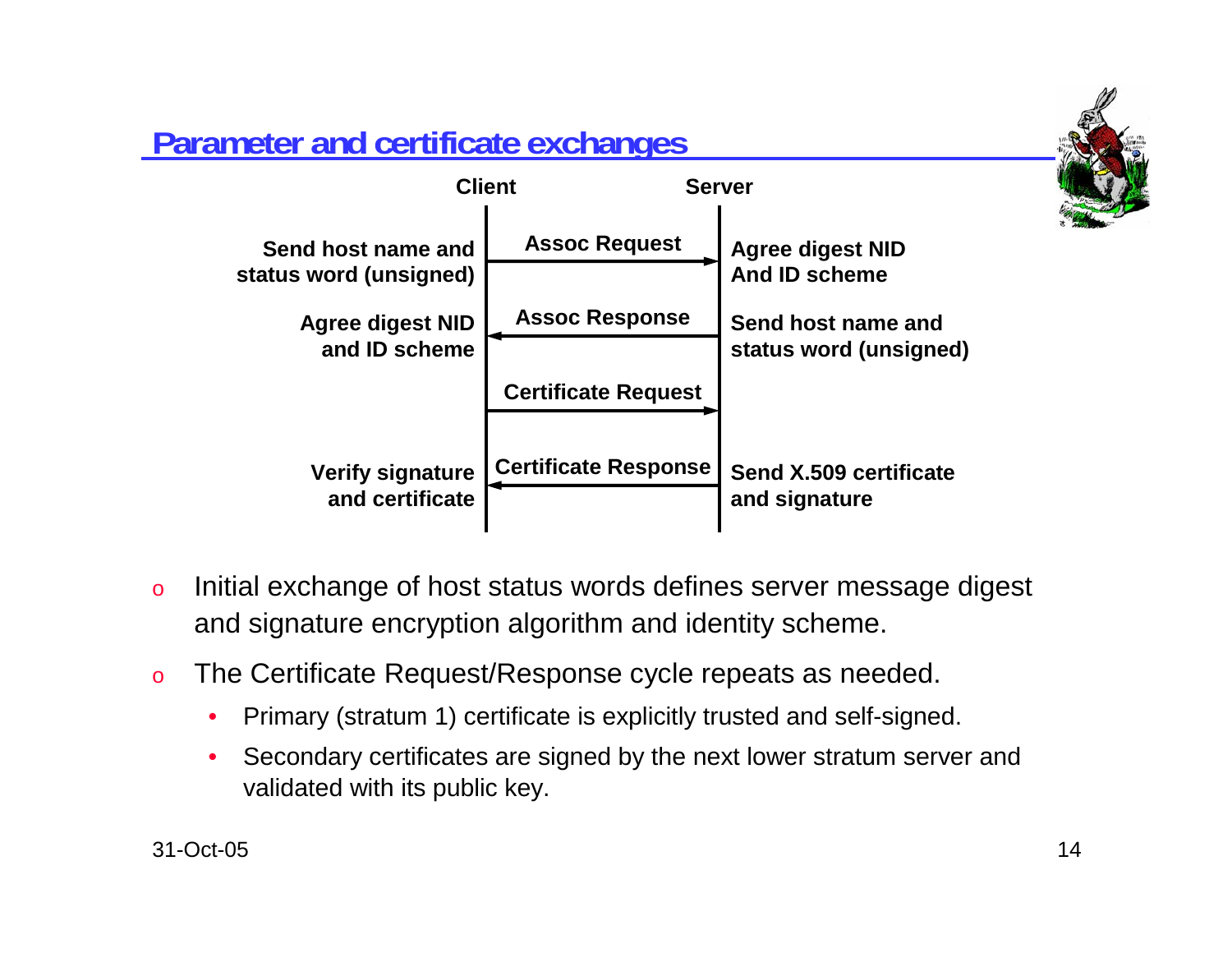

# **Parameter and certificate exchanges**



- o Initial exchange of host status words defines server message digest and signature encryption algorithm and identity scheme.
- o The Certificate Request/Response cycle repeats as needed.
	- •Primary (stratum 1) certificate is explicitly trusted and self-signed.
	- • Secondary certificates are signed by the next lower stratum server and validated with its public key.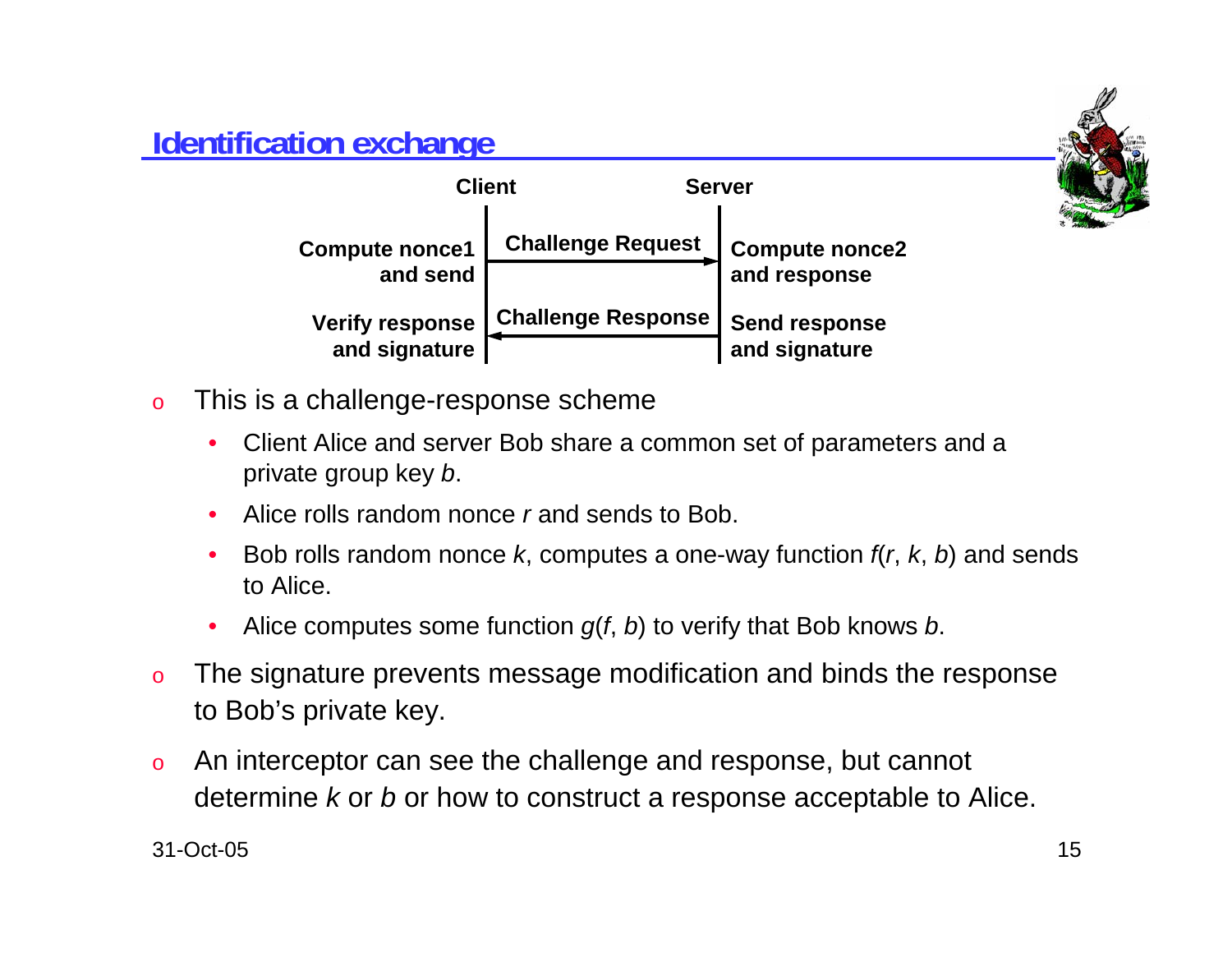## **Identification exchange**



- o This is a challenge-response scheme
	- • Client Alice and server Bob share a common set of parameters and <sup>a</sup> private group key *b*.
	- •Alice rolls random nonce *r* and sends to Bob.
	- • Bob rolls random nonce *k*, computes a one-way function *f*(*<sup>r</sup>*, *k*, *b*) and sends to Alice.
	- •Alice computes some function *g*(*f*, *b*) to verify that Bob knows *b*.
- o The signature prevents message modification and binds the response to Bob's private key.
- o An interceptor can see the challenge and response, but cannot determine *k* or *b* or how to construct a response acceptable to Alice.

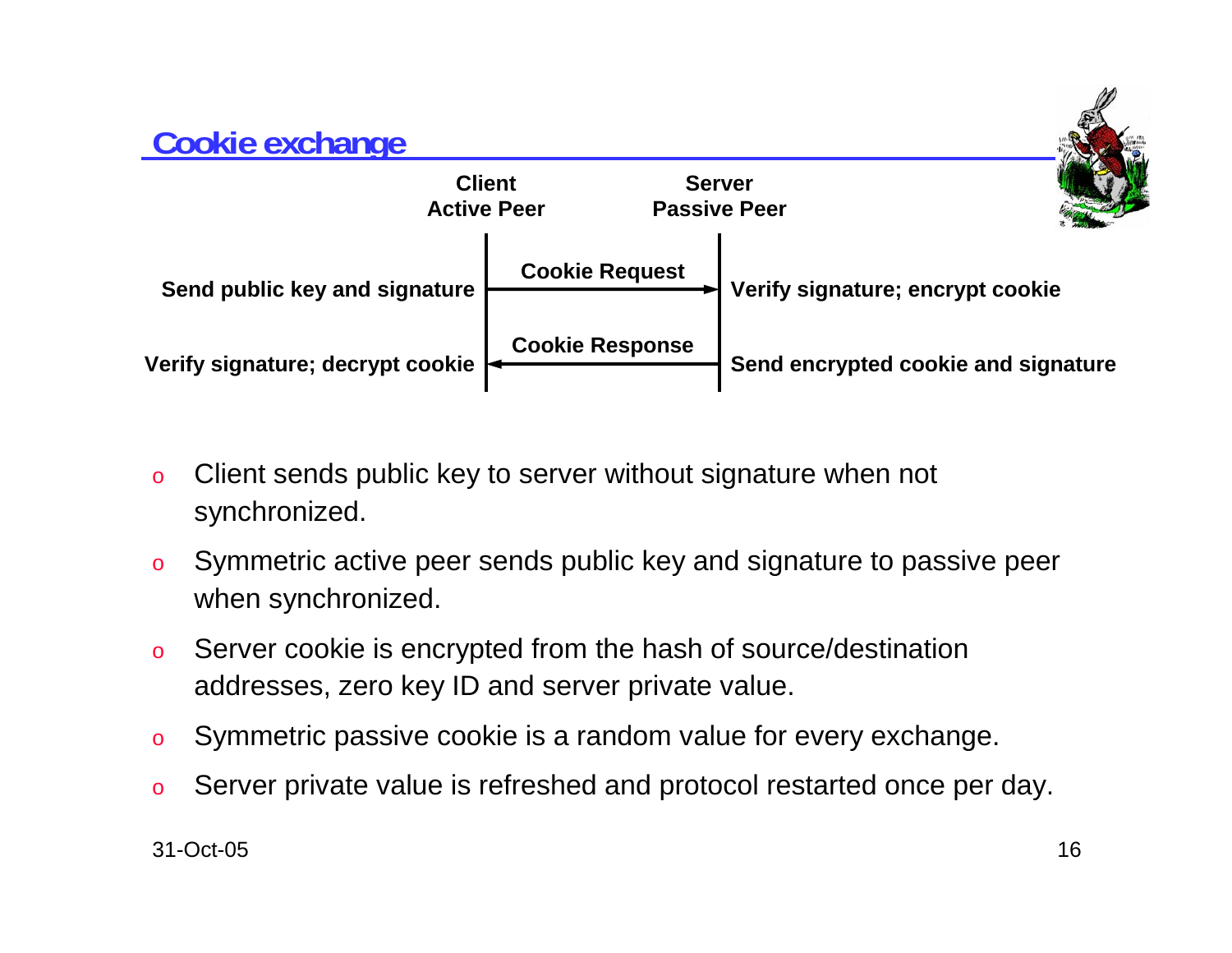## **Cookie exchange ClientActive PeerServerPassive PeerVerify signature; decrypt cookie | Cookie Response Cookie Request Send encrypted cookie and signature** Send public key and signature **Fig. 2018** Verify signature; encrypt cookie

- o Client sends public key to server without signature when not synchronized.
- o Symmetric active peer sends public key and signature to passive peer when synchronized.
- o Server cookie is encrypted from the hash of source/destination addresses, zero key ID and server private value.
- oSymmetric passive cookie is a random value for every exchange.
- oServer private value is refreshed and protocol restarted once per day.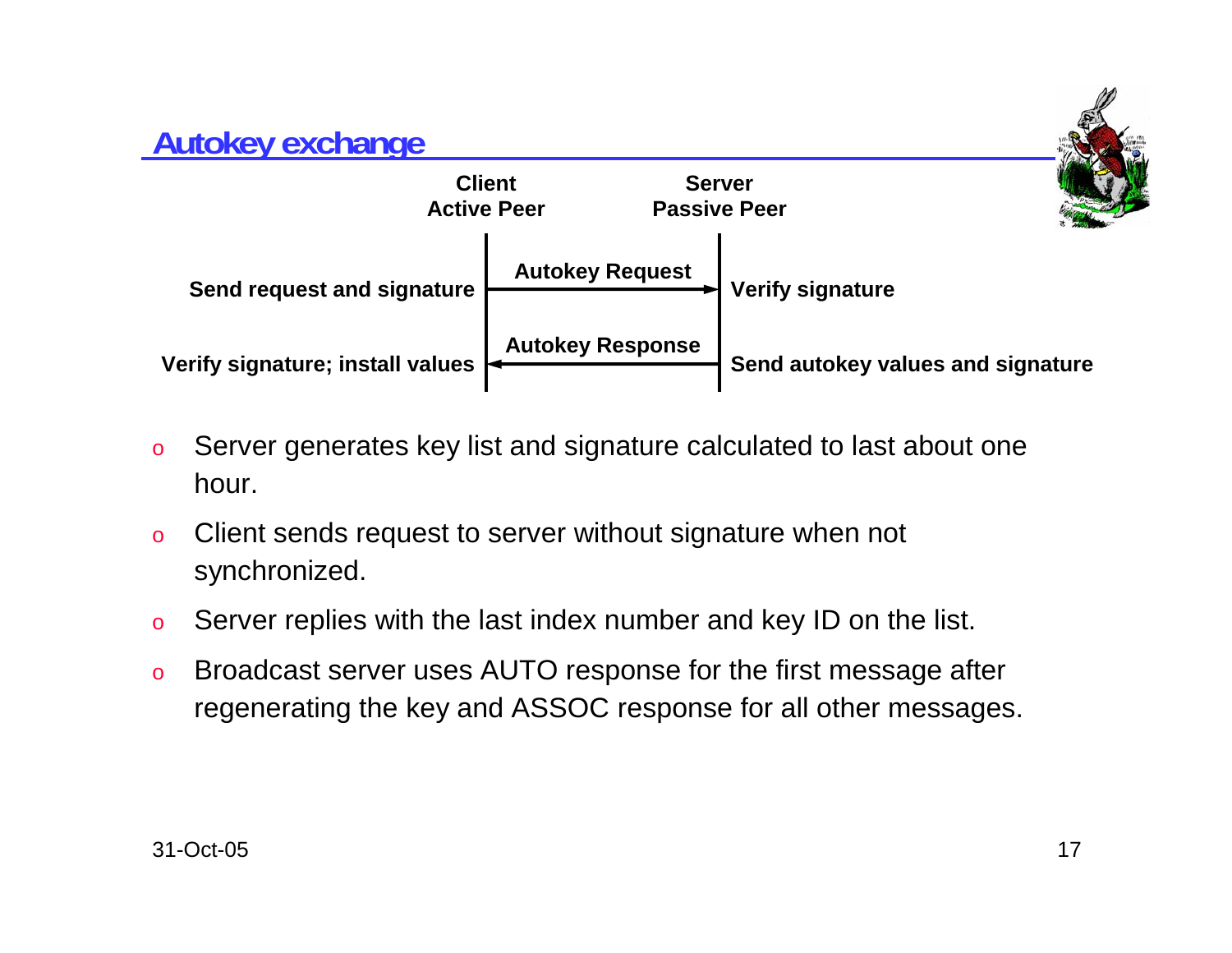## **Autokey exchange ClientActive PeerServerPassive PeerVerify signature; install values <br><b>Autokey Response Autokey Request Send autokey values and signature** Send request and signature  $\begin{array}{c} \begin{array}{c} \hline \end{array} \end{array}$  Verify signature

- o Server generates key list and signature calculated to last about one hour.
- o Client sends request to server without signature when not synchronized.
- oServer replies with the last index number and key ID on the list.
- o Broadcast server uses AUTO response for the first message after regenerating the key and ASSOC response for all other messages.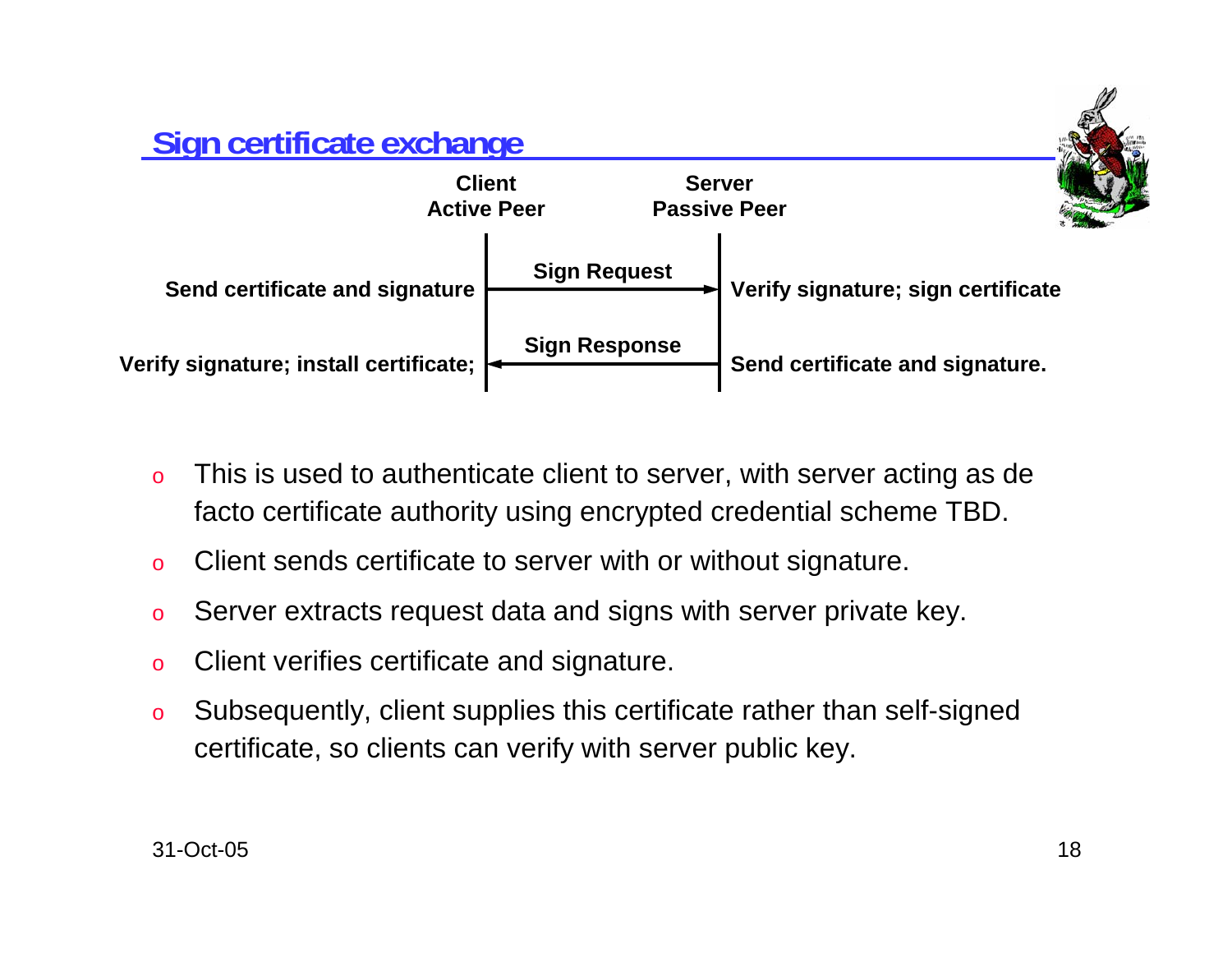

- o This is used to authenticate client to server, with server acting as de facto certificate authority using encrypted credential scheme TBD.
- oClient sends certificate to server with or without signature.
- oServer extracts request data and signs with server private key.
- oClient verifies certificate and signature.
- o Subsequently, client supplies this certificate rather than self-signed certificate, so clients can verify with server public key.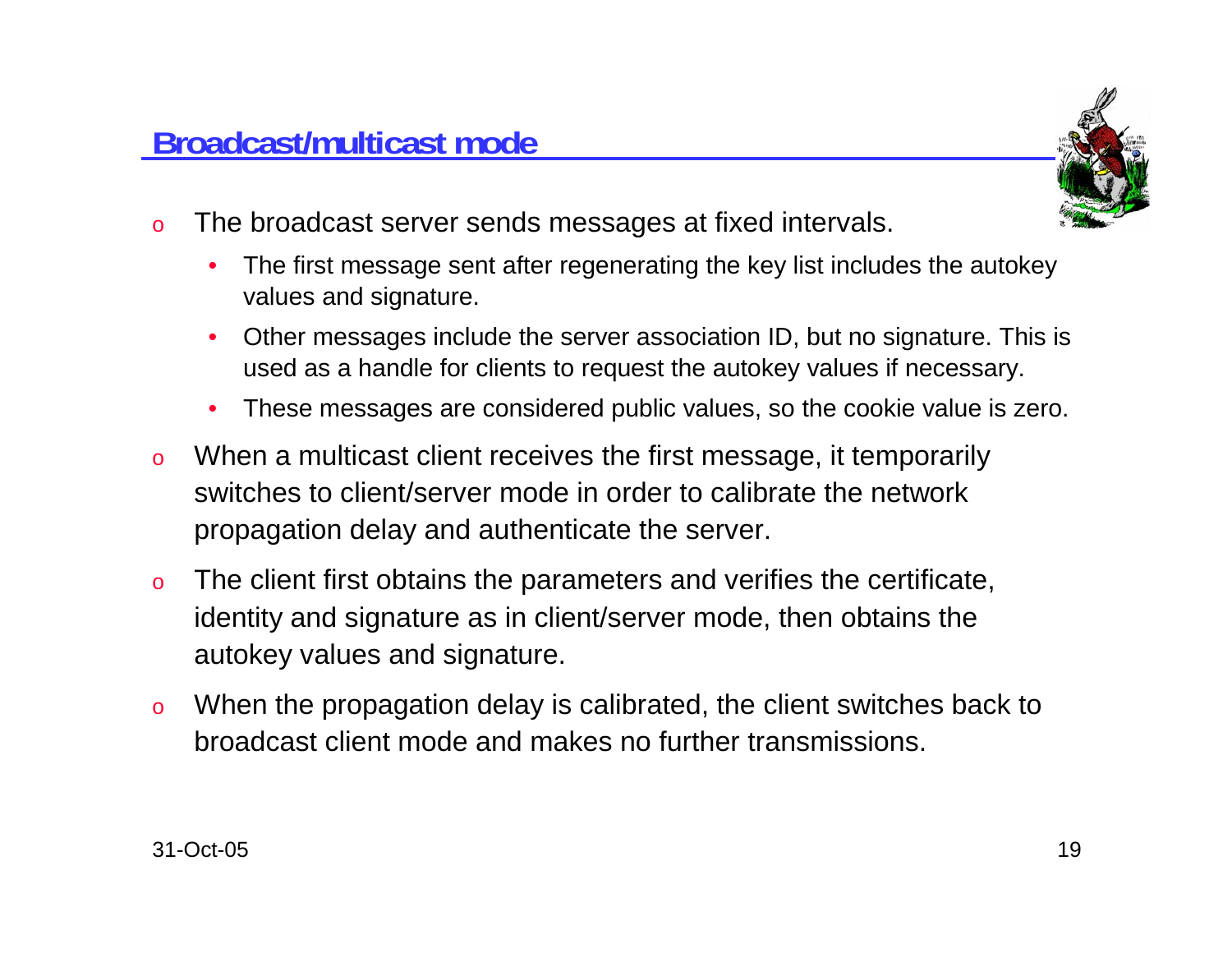

- o The broadcast server sends messages at fixed intervals.
	- • The first message sent after regenerating the key list includes the autokey values and signature.
	- • Other messages include the server association ID, but no signature. This is used as a handle for clients to request the autokey values if necessary.
	- •These messages are considered public values, so the cookie value is zero.
- o When a multicast client receives the first message, it temporarily switches to client/server mode in order to calibrate the networkpropagation delay and authenticate the server.
- o The client first obtains the parameters and verifies the certificate, identity and signature as in client/server mode, then obtains the autokey values and signature.
- o When the propagation delay is calibrated, the client switches back to broadcast client mode and makes no further transmissions.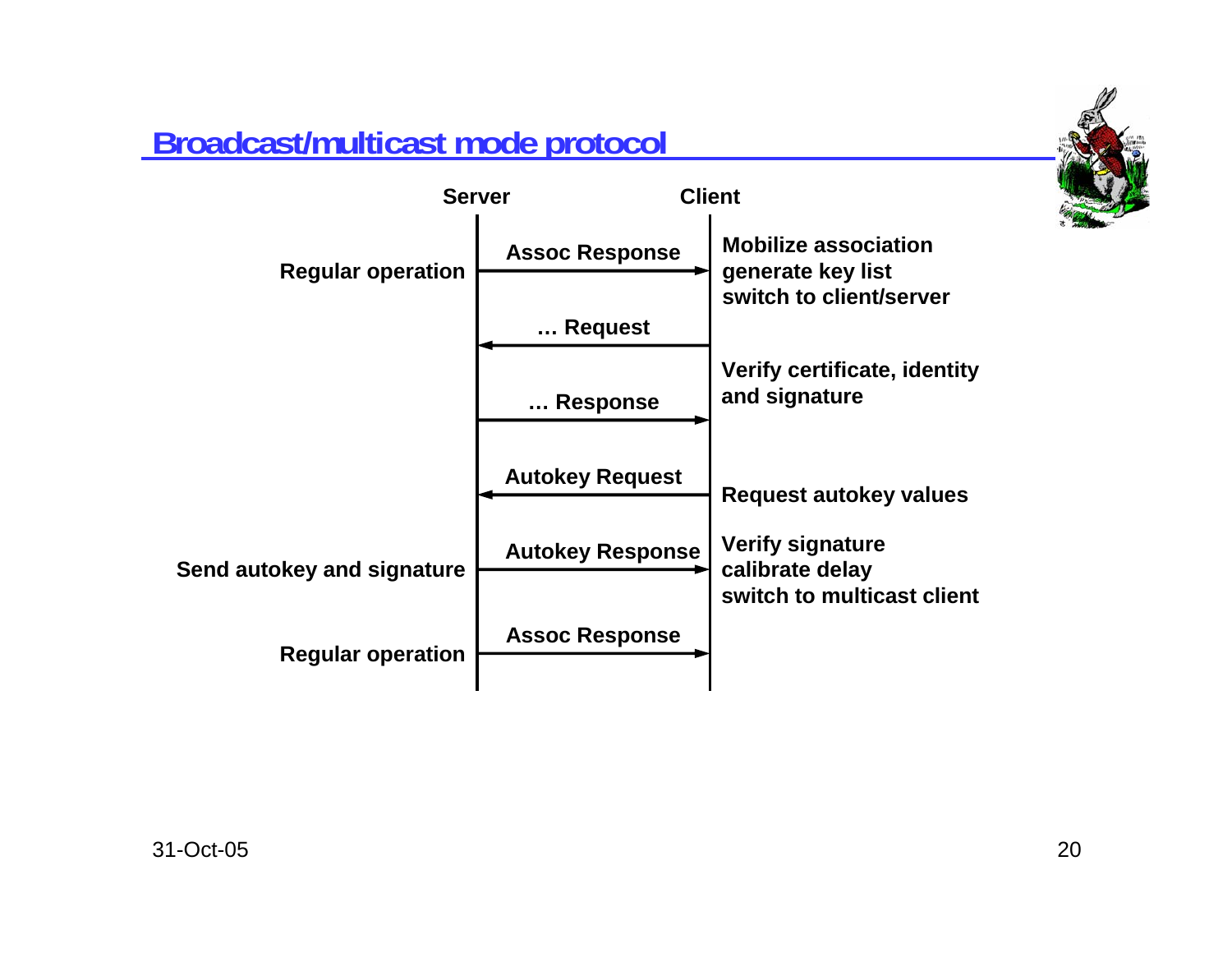

# **Broadcast/multicast mode protocol**

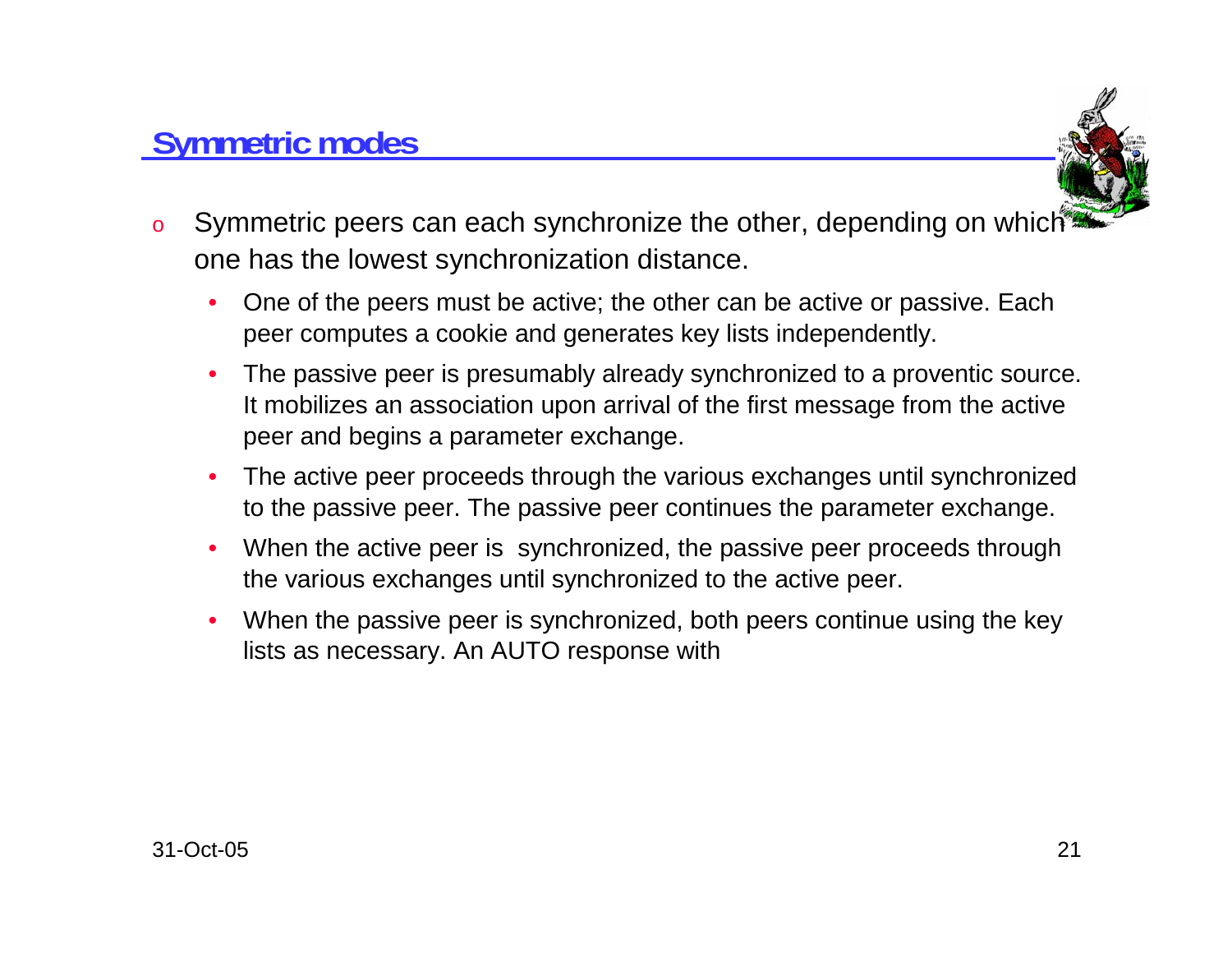## **Symmetric modes**



- oSymmetric peers can each synchronize the other, depending on which one has the lowest synchronization distance.
	- • One of the peers must be active; the other can be active or passive. Each peer computes a cookie and generates key lists independently.
	- • The passive peer is presumably already synchronized to a proventic source. It mobilizes an association upon arrival of the first message from the active peer and begins a parameter exchange.
	- • The active peer proceeds through the various exchanges until synchronized to the passive peer. The passive peer continues the parameter exchange.
	- $\bullet$  When the active peer is synchronized, the passive peer proceeds through the various exchanges until synchronized to the active peer.
	- • When the passive peer is synchronized, both peers continue using the key lists as necessary. An AUTO response with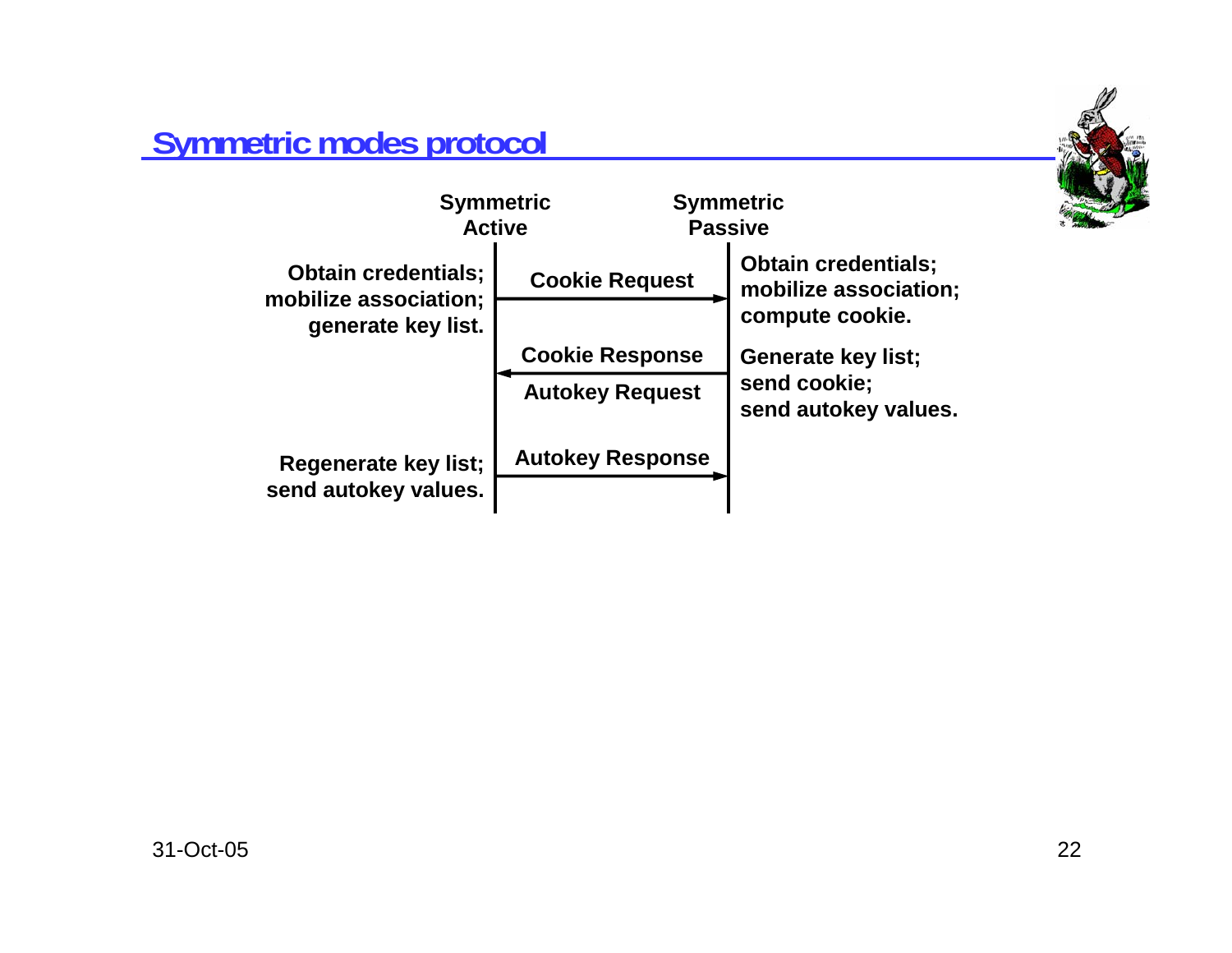

## **Symmetric modes protocol**

| <b>Symmetric</b><br><b>Active</b>                   |                         | <b>Symmetric</b><br><b>Passive</b>                  |
|-----------------------------------------------------|-------------------------|-----------------------------------------------------|
| <b>Obtain credentials;</b><br>mobilize association; | <b>Cookie Request</b>   | <b>Obtain credentials;</b><br>mobilize association; |
| generate key list.                                  |                         | compute cookie.                                     |
|                                                     | <b>Cookie Response</b>  | <b>Generate key list;</b>                           |
|                                                     | <b>Autokey Request</b>  | send cookie;<br>send autokey values.                |
| Regenerate key list;                                | <b>Autokey Response</b> |                                                     |
| send autokey values.                                |                         |                                                     |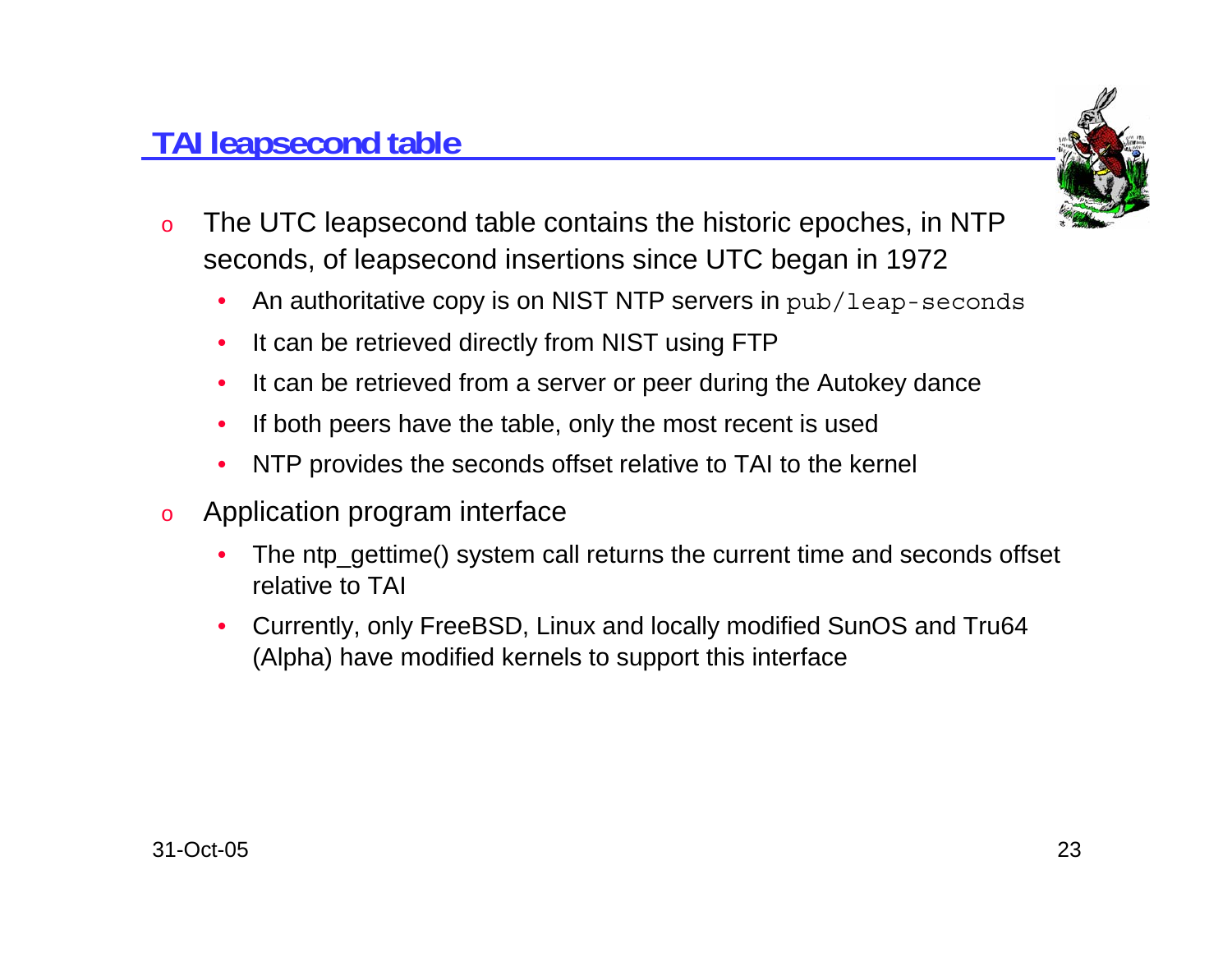#### 31-Oct-05

# **TAI leapsecond table**

- o The UTC leapsecond table contains the historic epoches, in NTP seconds, of leapsecond insertions since UTC began in 1972
	- $\bullet$ An authoritative copy is on NIST NTP servers in pub/leap-seconds
	- $\bullet$ It can be retrieved directly from NIST using FTP
	- $\bullet$ It can be retrieved from a server or peer during the Autokey dance
	- •If both peers have the table, only the most recent is used
	- $\bullet$ NTP provides the seconds offset relative to TAI to the kernel
- o Application program interface
	- •The ntp\_gettime() system call returns the current time and seconds offset relative to TAI
	- • Currently, only FreeBSD, Linux and locally modified SunOS and Tru64 (Alpha) have modified kernels to support this interface